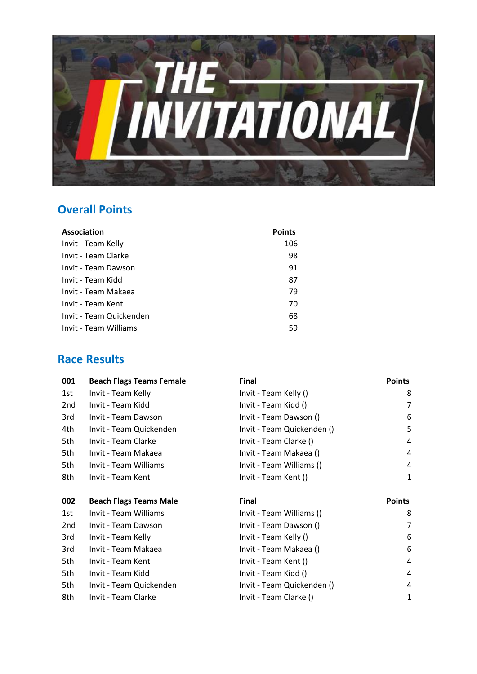

## **Overall Points**

| Association             | <b>Points</b> |
|-------------------------|---------------|
| Invit - Team Kelly      | 106           |
| Invit - Team Clarke     | 98            |
| Invit - Team Dawson     | 91            |
| Invit - Team Kidd       | 87            |
| Invit - Team Makaea     | 79            |
| Invit - Team Kent       | 70            |
| Invit - Team Quickenden | 68            |
| Invit - Team Williams   | 59            |

## **Race Results**

| 001 | <b>Beach Flags Teams Female</b> | <b>Final</b>               | <b>Points</b> |
|-----|---------------------------------|----------------------------|---------------|
| 1st | Invit - Team Kelly              | Invit - Team Kelly ()      | 8             |
| 2nd | Invit - Team Kidd               | Invit - Team Kidd ()       | 7             |
| 3rd | Invit - Team Dawson             | Invit - Team Dawson ()     | 6             |
| 4th | Invit - Team Quickenden         | Invit - Team Quickenden () | 5             |
| 5th | Invit - Team Clarke             | Invit - Team Clarke ()     | 4             |
| 5th | Invit - Team Makaea             | Invit - Team Makaea ()     | 4             |
| 5th | Invit - Team Williams           | Invit - Team Williams ()   | 4             |
| 8th | Invit - Team Kent               | Invit - Team Kent ()       | 1             |
| 002 | <b>Beach Flags Teams Male</b>   | Final                      | <b>Points</b> |
| 1st | Invit - Team Williams           | Invit - Team Williams ()   | 8             |
| 2nd | Invit - Team Dawson             | Invit - Team Dawson ()     | 7             |
| 3rd | Invit - Team Kelly              | Invit - Team Kelly ()      | 6             |
| 3rd | Invit - Team Makaea             | Invit - Team Makaea ()     | 6             |
| 5th | Invit - Team Kent               | Invit - Team Kent ()       | 4             |
| 5th | Invit - Team Kidd               | Invit - Team Kidd ()       | 4             |
| 5th | Invit - Team Quickenden         | Invit - Team Quickenden () | 4             |
| 8th | Invit - Team Clarke             | Invit - Team Clarke ()     | 1             |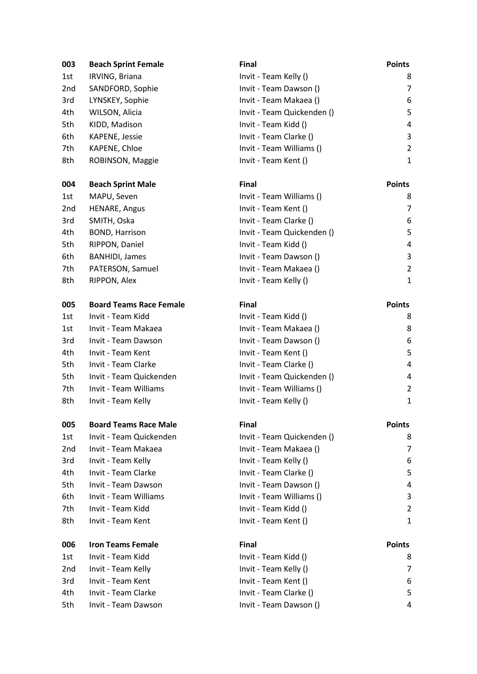| 003             | <b>Beach Sprint Female</b>     | <b>Final</b>               | <b>Points</b>           |
|-----------------|--------------------------------|----------------------------|-------------------------|
| 1st             | IRVING, Briana                 | Invit - Team Kelly ()      | 8                       |
| 2 <sub>nd</sub> | SANDFORD, Sophie               | Invit - Team Dawson ()     | 7                       |
| 3rd             | LYNSKEY, Sophie                | Invit - Team Makaea ()     | 6                       |
| 4th             | WILSON, Alicia                 | Invit - Team Quickenden () | 5                       |
| 5th             | KIDD, Madison                  | Invit - Team Kidd ()       | 4                       |
| 6th             | KAPENE, Jessie                 | Invit - Team Clarke ()     | 3                       |
| 7th             | KAPENE, Chloe                  | Invit - Team Williams ()   | $\overline{c}$          |
| 8th             | ROBINSON, Maggie               | Invit - Team Kent ()       | 1                       |
| 004             | <b>Beach Sprint Male</b>       | <b>Final</b>               | <b>Points</b>           |
| 1st             | MAPU, Seven                    | Invit - Team Williams ()   | 8                       |
| 2 <sub>nd</sub> | HENARE, Angus                  | Invit - Team Kent ()       | 7                       |
| 3rd             | SMITH, Oska                    | Invit - Team Clarke ()     | 6                       |
| 4th             | BOND, Harrison                 | Invit - Team Quickenden () | 5                       |
| 5th             | RIPPON, Daniel                 | Invit - Team Kidd ()       | 4                       |
| 6th             | <b>BANHIDI</b> , James         | Invit - Team Dawson ()     | 3                       |
| 7th             | PATERSON, Samuel               | Invit - Team Makaea ()     | $\overline{\mathbf{c}}$ |
| 8th             | RIPPON, Alex                   | Invit - Team Kelly ()      | 1                       |
| 005             | <b>Board Teams Race Female</b> | Final                      | <b>Points</b>           |
| 1st             | Invit - Team Kidd              | Invit - Team Kidd ()       | 8                       |
| 1st             | Invit - Team Makaea            | Invit - Team Makaea ()     | 8                       |
| 3rd             | Invit - Team Dawson            | Invit - Team Dawson ()     | 6                       |
| 4th             | Invit - Team Kent              | Invit - Team Kent ()       | 5                       |
| 5th             | Invit - Team Clarke            | Invit - Team Clarke ()     | 4                       |
| 5th             | Invit - Team Quickenden        | Invit - Team Quickenden () | 4                       |
| 7th             | Invit - Team Williams          | Invit - Team Williams ()   | $\overline{c}$          |
| 8th             | Invit - Team Kelly             | Invit - Team Kelly ()      | 1                       |
| 005             | <b>Board Teams Race Male</b>   | Final                      | <b>Points</b>           |
| 1st             | Invit - Team Quickenden        | Invit - Team Quickenden () | 8                       |
| 2 <sub>nd</sub> | Invit - Team Makaea            | Invit - Team Makaea ()     | 7                       |
| 3rd             | Invit - Team Kelly             | Invit - Team Kelly ()      | 6                       |
| 4th             | Invit - Team Clarke            | Invit - Team Clarke ()     | 5                       |
| 5th             | Invit - Team Dawson            | Invit - Team Dawson ()     | 4                       |
| 6th             | Invit - Team Williams          | Invit - Team Williams ()   | 3                       |
| 7th             | Invit - Team Kidd              | Invit - Team Kidd ()       | $\overline{a}$          |
| 8th             | Invit - Team Kent              | Invit - Team Kent ()       | <u>1</u>                |
| 006             | <b>Iron Teams Female</b>       | <b>Final</b>               | <b>Points</b>           |
| 1st             | Invit - Team Kidd              | Invit - Team Kidd ()       | 8                       |
| 2 <sub>nd</sub> | Invit - Team Kelly             | Invit - Team Kelly ()      | 7                       |
| 3rd             | Invit - Team Kent              | Invit - Team Kent ()       | 6                       |
| 4th             | Invit - Team Clarke            | Invit - Team Clarke ()     | 5                       |
| 5th             | Invit - Team Dawson            | Invit - Team Dawson ()     | 4                       |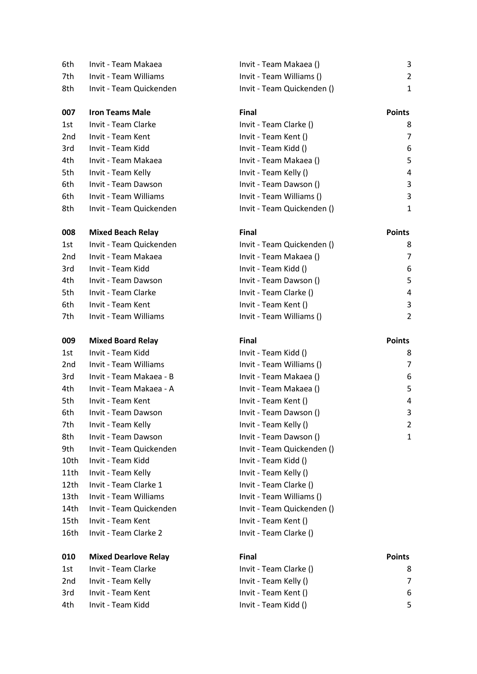| 6th             | Invit - Team Makaea         | Invit - Team Makaea ()     |
|-----------------|-----------------------------|----------------------------|
| 7th             | Invit - Team Williams       | Invit - Team Williams ()   |
| 8th             | Invit - Team Quickenden     | Invit - Team Quickenden () |
| 007             | <b>Iron Teams Male</b>      | <b>Final</b>               |
| 1st             | Invit - Team Clarke         | Invit - Team Clarke ()     |
| 2 <sub>nd</sub> | Invit - Team Kent           | Invit - Team Kent ()       |
| 3rd             | Invit - Team Kidd           | Invit - Team Kidd ()       |
| 4th             | Invit - Team Makaea         | Invit - Team Makaea ()     |
| 5th             | Invit - Team Kelly          | Invit - Team Kelly ()      |
| 6th             | Invit - Team Dawson         | Invit - Team Dawson ()     |
| 6th             | Invit - Team Williams       | Invit - Team Williams ()   |
| 8th             | Invit - Team Quickenden     | Invit - Team Quickenden () |
| 008             | <b>Mixed Beach Relay</b>    | <b>Final</b>               |
| 1st             | Invit - Team Quickenden     | Invit - Team Quickenden () |
| 2nd             | Invit - Team Makaea         | Invit - Team Makaea ()     |
| 3rd             | Invit - Team Kidd           | Invit - Team Kidd ()       |
| 4th             | Invit - Team Dawson         | Invit - Team Dawson ()     |
| 5th             | Invit - Team Clarke         | Invit - Team Clarke ()     |
| 6th             | Invit - Team Kent           | Invit - Team Kent ()       |
| 7th             | Invit - Team Williams       | Invit - Team Williams ()   |
| 009             | <b>Mixed Board Relay</b>    | <b>Final</b>               |
| 1st             | Invit - Team Kidd           | Invit - Team Kidd ()       |
| 2nd             | Invit - Team Williams       | Invit - Team Williams ()   |
| 3rd             | Invit - Team Makaea - B     | Invit - Team Makaea ()     |
| 4th             | Invit - Team Makaea - A     | Invit - Team Makaea ()     |
| 5th             | Invit - Team Kent           | Invit - Team Kent ()       |
| 6th             | Invit - Team Dawson         | Invit - Team Dawson ()     |
| 7th             | Invit - Team Kelly          | Invit - Team Kelly ()      |
| 8th             | Invit - Team Dawson         | Invit - Team Dawson ()     |
| 9th             | Invit - Team Quickenden     | Invit - Team Quickenden () |
| 10th            | Invit - Team Kidd           | Invit - Team Kidd ()       |
| 11th            | Invit - Team Kelly          | Invit - Team Kelly ()      |
| 12th            | Invit - Team Clarke 1       | Invit - Team Clarke ()     |
| 13th            | Invit - Team Williams       | Invit - Team Williams ()   |
| 14th            | Invit - Team Quickenden     | Invit - Team Quickenden () |
| 15th            | Invit - Team Kent           | Invit - Team Kent ()       |
| 16th            | Invit - Team Clarke 2       | Invit - Team Clarke ()     |
| 010             | <b>Mixed Dearlove Relay</b> | <b>Final</b>               |
| 1st             | Invit - Team Clarke         | Invit - Team Clarke ()     |
|                 |                             |                            |

| n Quickenden | Invit |
|--------------|-------|
|              |       |
|              |       |

## Invit - Team Makaea () 3 Invit - Team Williams () 2 8th Invited Invited Pream Quickenden () 1

| 007 | <b>Iron Teams Male</b>  | <b>Final</b>               | <b>Points</b> |
|-----|-------------------------|----------------------------|---------------|
| 1st | Invit - Team Clarke     | Invit - Team Clarke ()     | 8             |
| 2nd | Invit - Team Kent       | Invit - Team Kent ()       | 7             |
| 3rd | Invit - Team Kidd       | Invit - Team Kidd ()       | 6             |
| 4th | Invit - Team Makaea     | Invit - Team Makaea ()     | 5             |
| 5th | Invit - Team Kelly      | Invit - Team Kelly ()      | 4             |
| 6th | Invit - Team Dawson     | Invit - Team Dawson ()     | 3             |
| 6th | Invit - Team Williams   | Invit - Team Williams ()   | 3             |
| 8th | Invit - Team Quickenden | Invit - Team Quickenden () | $\mathbf{1}$  |

| 008 | <b>Mixed Beach Relay</b> | <b>Final</b>               | <b>Points</b> |
|-----|--------------------------|----------------------------|---------------|
| 1st | Invit - Team Quickenden  | Invit - Team Quickenden () | 8             |
| 2nd | Invit - Team Makaea      | Invit - Team Makaea ()     | 7             |
| 3rd | Invit - Team Kidd        | Invit - Team Kidd ()       | 6             |
| 4th | Invit - Team Dawson      | Invit - Team Dawson ()     | -5            |
| 5th | Invit - Team Clarke      | Invit - Team Clarke ()     | 4             |
| 6th | Invit - Team Kent        | Invit - Team Kent ()       | 3             |
| 7th | Invit - Team Williams    | Invit - Team Williams ()   | 2             |
|     |                          |                            |               |

| 009  | <b>Mixed Board Relay</b> | Final                      | <b>Points</b>           |
|------|--------------------------|----------------------------|-------------------------|
| 1st  | Invit - Team Kidd        | Invit - Team Kidd ()       | 8                       |
| 2nd  | Invit - Team Williams    | Invit - Team Williams ()   | 7                       |
| 3rd  | Invit - Team Makaea - B  | Invit - Team Makaea ()     | 6                       |
| 4th  | Invit - Team Makaea - A  | Invit - Team Makaea ()     | 5                       |
| 5th  | Invit - Team Kent        | Invit - Team Kent ()       | 4                       |
| 6th  | Invit - Team Dawson      | Invit - Team Dawson ()     | 3                       |
| 7th  | Invit - Team Kelly       | Invit - Team Kelly ()      | $\overline{\mathbf{c}}$ |
| 8th  | Invit - Team Dawson      | Invit - Team Dawson ()     | 1                       |
| 9th  | Invit - Team Quickenden  | Invit - Team Quickenden () |                         |
| 10th | Invit - Team Kidd        | Invit - Team Kidd ()       |                         |
| 11th | Invit - Team Kelly       | Invit - Team Kelly ()      |                         |
| 12th | Invit - Team Clarke 1    | Invit - Team Clarke ()     |                         |
| 13th | Invit - Team Williams    | Invit - Team Williams ()   |                         |
| 14th | Invit - Team Quickenden  | Invit - Team Quickenden () |                         |
| 15th | Invit - Team Kent        | Invit - Team Kent ()       |                         |
| 16th | Invit - Team Clarke 2    | Invit - Team Clarke ()     |                         |

| 010 | <b>Mixed Dearlove Relay</b> | <b>Final</b>           | <b>Points</b> |
|-----|-----------------------------|------------------------|---------------|
| 1st | Invit - Team Clarke         | Invit - Team Clarke () | 8             |
| 2nd | Invit - Team Kelly          | Invit - Team Kelly ()  | 7             |
| 3rd | Invit - Team Kent           | Invit - Team Kent ()   | -6            |
| 4th | Invit - Team Kidd           | Invit - Team Kidd ()   | .5            |
|     |                             |                        |               |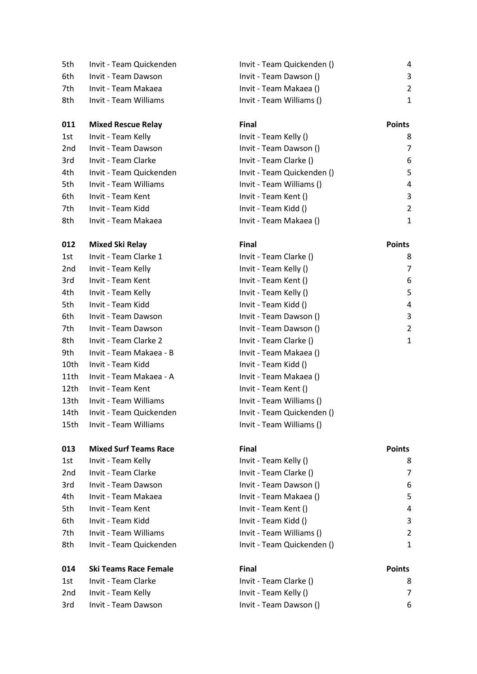| 5th             | Invit - Team Quickenden      | Invit - Team Quickenden () | 4              |
|-----------------|------------------------------|----------------------------|----------------|
| 6th             | Invit - Team Dawson          | Invit - Team Dawson ()     | 3              |
| 7th             | Invit - Team Makaea          | Invit - Team Makaea ()     | $\overline{a}$ |
| 8th             | Invit - Team Williams        | Invit - Team Williams ()   | 1              |
| 011             | <b>Mixed Rescue Relay</b>    | <b>Final</b>               | <b>Points</b>  |
| 1st             | Invit - Team Kelly           | Invit - Team Kelly ()      | 8              |
| 2 <sub>nd</sub> | Invit - Team Dawson          | Invit - Team Dawson ()     | 7              |
| 3rd             | Invit - Team Clarke          | Invit - Team Clarke ()     | 6              |
| 4th             | Invit - Team Quickenden      | Invit - Team Quickenden () | 5              |
| 5th             | Invit - Team Williams        | Invit - Team Williams ()   | 4              |
| 6th             | Invit - Team Kent            | Invit - Team Kent ()       | 3              |
| 7th             | Invit - Team Kidd            | Invit - Team Kidd ()       | $\overline{a}$ |
| 8th             | Invit - Team Makaea          | Invit - Team Makaea ()     | $\mathbf{1}$   |
| 012             | <b>Mixed Ski Relay</b>       | <b>Final</b>               | <b>Points</b>  |
| 1st             | Invit - Team Clarke 1        | Invit - Team Clarke ()     | 8              |
| 2nd             | Invit - Team Kelly           | Invit - Team Kelly ()      | 7              |
| 3rd             | Invit - Team Kent            | Invit - Team Kent ()       | 6              |
| 4th             | Invit - Team Kelly           | Invit - Team Kelly ()      | 5              |
| 5th             | Invit - Team Kidd            | Invit - Team Kidd ()       | 4              |
| 6th             | Invit - Team Dawson          | Invit - Team Dawson ()     | 3              |
| 7th             | Invit - Team Dawson          | Invit - Team Dawson ()     | $\overline{c}$ |
| 8th             | Invit - Team Clarke 2        | Invit - Team Clarke ()     | <u>1</u>       |
| 9th             | Invit - Team Makaea - B      | Invit - Team Makaea ()     |                |
| 10th            | Invit - Team Kidd            | Invit - Team Kidd ()       |                |
| 11th            | Invit - Team Makaea - A      | Invit - Team Makaea ()     |                |
| 12th            | Invit - Team Kent            | Invit - Team Kent ()       |                |
| 13th            | Invit - Team Williams        | Invit - Team Williams ()   |                |
| 14th            | Invit - Team Quickenden      | Invit - Team Quickenden () |                |
| 15th            | Invit - Team Williams        | Invit - Team Williams ()   |                |
| 013             | <b>Mixed Surf Teams Race</b> | <b>Final</b>               | <b>Points</b>  |
| 1st             | Invit - Team Kelly           | Invit - Team Kelly ()      | 8              |
| 2nd             | Invit - Team Clarke          | Invit - Team Clarke ()     | 7              |
| 3rd             | Invit - Team Dawson          | Invit - Team Dawson ()     | 6              |
| 4th             | Invit - Team Makaea          | Invit - Team Makaea ()     | 5              |
| 5th             | Invit - Team Kent            | Invit - Team Kent ()       | 4              |
| 6th             | Invit - Team Kidd            | Invit - Team Kidd ()       | 3              |
| 7th             | Invit - Team Williams        | Invit - Team Williams ()   | $\overline{c}$ |
| 8th             | Invit - Team Quickenden      | Invit - Team Quickenden () | $\mathbf{1}$   |
| 014             | <b>Ski Teams Race Female</b> | <b>Final</b>               | <b>Points</b>  |
| 1st             | Invit - Team Clarke          | Invit - Team Clarke ()     | 8              |
| 2nd             | Invit - Team Kelly           | Invit - Team Kelly ()      | 7              |
| 3rd             | Invit - Team Dawson          | Invit - Team Dawson ()     | 6              |